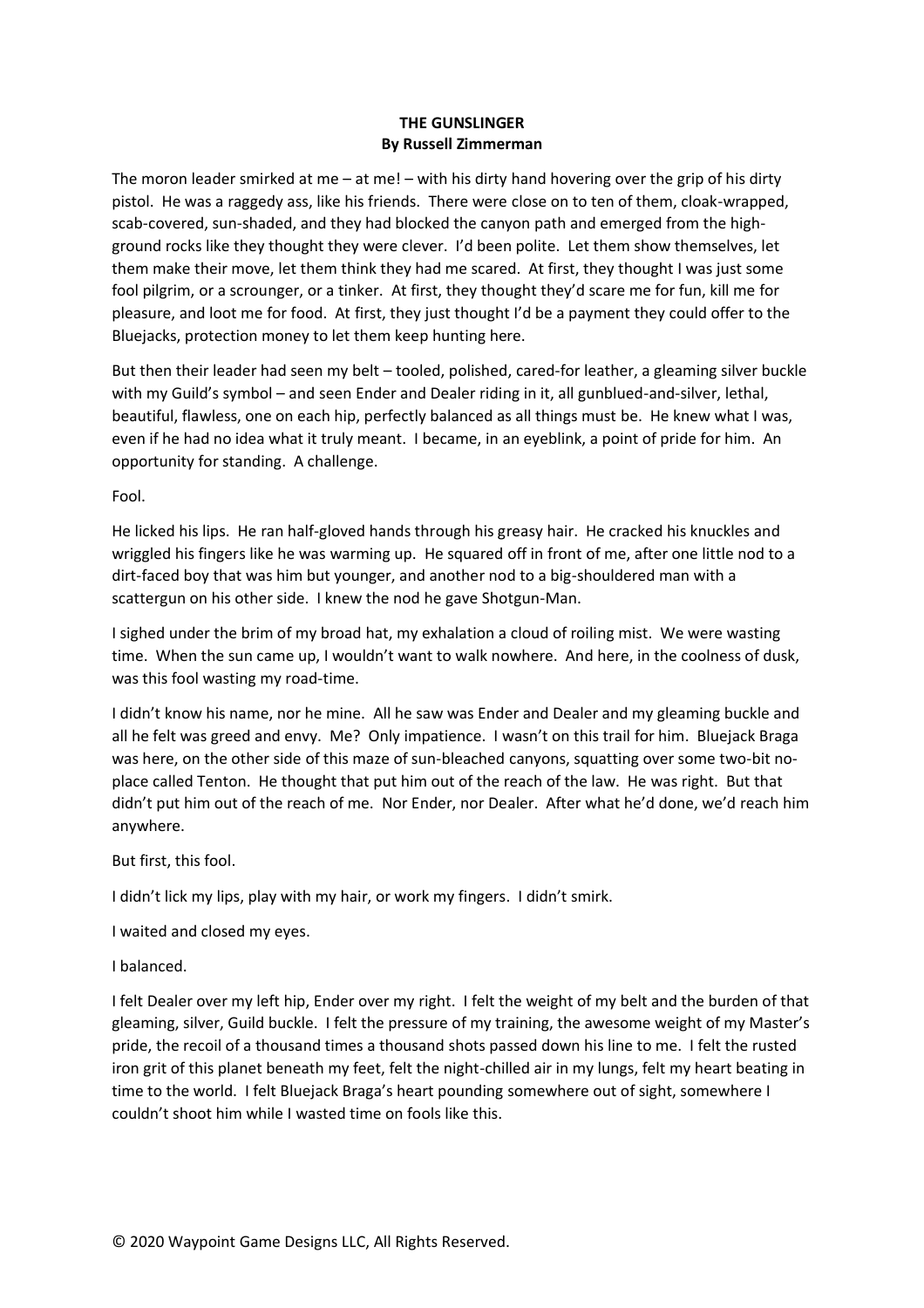## **THE GUNSLINGER By Russell Zimmerman**

The moron leader smirked at me – at me! – with his dirty hand hovering over the grip of his dirty pistol. He was a raggedy ass, like his friends. There were close on to ten of them, cloak-wrapped, scab-covered, sun-shaded, and they had blocked the canyon path and emerged from the highground rocks like they thought they were clever. I'd been polite. Let them show themselves, let them make their move, let them think they had me scared. At first, they thought I was just some fool pilgrim, or a scrounger, or a tinker. At first, they thought they'd scare me for fun, kill me for pleasure, and loot me for food. At first, they just thought I'd be a payment they could offer to the Bluejacks, protection money to let them keep hunting here.

But then their leader had seen my belt – tooled, polished, cared-for leather, a gleaming silver buckle with my Guild's symbol – and seen Ender and Dealer riding in it, all gunblued-and-silver, lethal, beautiful, flawless, one on each hip, perfectly balanced as all things must be. He knew what I was, even if he had no idea what it truly meant. I became, in an eyeblink, a point of pride for him. An opportunity for standing. A challenge.

Fool.

He licked his lips. He ran half-gloved hands through his greasy hair. He cracked his knuckles and wriggled his fingers like he was warming up. He squared off in front of me, after one little nod to a dirt-faced boy that was him but younger, and another nod to a big-shouldered man with a scattergun on his other side. I knew the nod he gave Shotgun-Man.

I sighed under the brim of my broad hat, my exhalation a cloud of roiling mist. We were wasting time. When the sun came up, I wouldn't want to walk nowhere. And here, in the coolness of dusk, was this fool wasting my road-time.

I didn't know his name, nor he mine. All he saw was Ender and Dealer and my gleaming buckle and all he felt was greed and envy. Me? Only impatience. I wasn't on this trail for him. Bluejack Braga was here, on the other side of this maze of sun-bleached canyons, squatting over some two-bit noplace called Tenton. He thought that put him out of the reach of the law. He was right. But that didn't put him out of the reach of me. Nor Ender, nor Dealer. After what he'd done, we'd reach him anywhere.

But first, this fool.

I didn't lick my lips, play with my hair, or work my fingers. I didn't smirk.

I waited and closed my eyes.

I balanced.

I felt Dealer over my left hip, Ender over my right. I felt the weight of my belt and the burden of that gleaming, silver, Guild buckle. I felt the pressure of my training, the awesome weight of my Master's pride, the recoil of a thousand times a thousand shots passed down his line to me. I felt the rusted iron grit of this planet beneath my feet, felt the night-chilled air in my lungs, felt my heart beating in time to the world. I felt Bluejack Braga's heart pounding somewhere out of sight, somewhere I couldn't shoot him while I wasted time on fools like this.